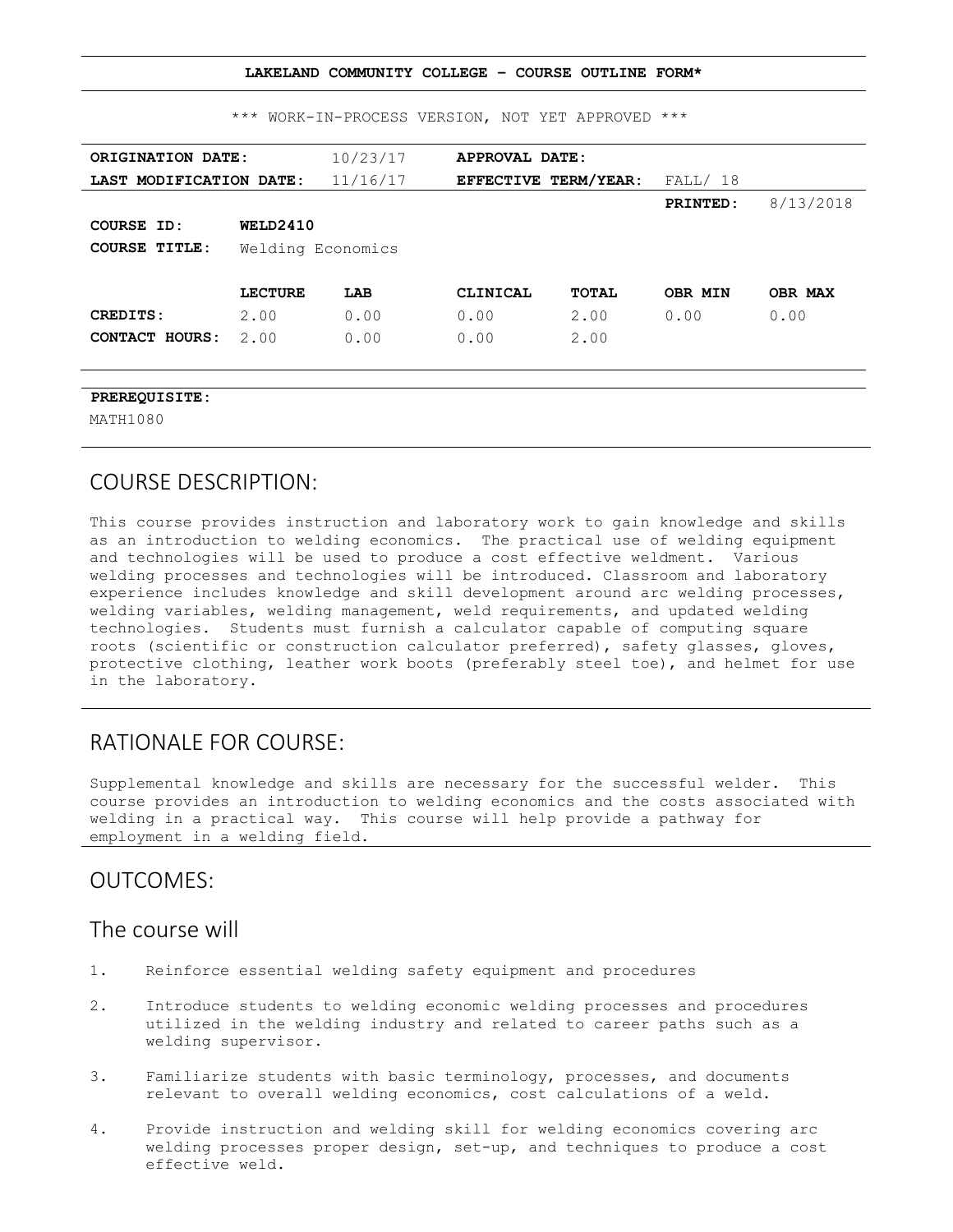|                         |                   |          | LAKELAND COMMUNITY COLLEGE - COURSE OUTLINE FORM* |                                      |                 |           |
|-------------------------|-------------------|----------|---------------------------------------------------|--------------------------------------|-----------------|-----------|
|                         |                   |          | *** WORK-IN-PROCESS VERSION, NOT YET APPROVED *** |                                      |                 |           |
| ORIGINATION DATE:       |                   | 10/23/17 | APPROVAL DATE:                                    |                                      |                 |           |
| LAST MODIFICATION DATE: |                   | 11/16/17 |                                                   | <b>EFFECTIVE TERM/YEAR:</b> FALL/ 18 |                 |           |
|                         |                   |          |                                                   |                                      | <b>PRINTED:</b> | 8/13/2018 |
| COURSE ID:              | WELD2410          |          |                                                   |                                      |                 |           |
| <b>COURSE TITLE:</b>    | Welding Economics |          |                                                   |                                      |                 |           |
|                         | <b>LECTURE</b>    | LAB      | CLINICAL                                          | TOTAL                                | OBR MIN         | OBR MAX   |
| CREDITS:                | 2.00              | 0.00     | 0.00                                              | 2.00                                 | 0.00            | 0.00      |
| CONTACT HOURS:          | 2.00              | 0.00     | 0.00                                              | 2.00                                 |                 |           |
|                         |                   |          |                                                   |                                      |                 |           |
| PREREQUISITE:           |                   |          |                                                   |                                      |                 |           |
| MATH1080                |                   |          |                                                   |                                      |                 |           |

### COURSE DESCRIPTION:

This course provides instruction and laboratory work to gain knowledge and skills as an introduction to welding economics. The practical use of welding equipment and technologies will be used to produce a cost effective weldment. Various welding processes and technologies will be introduced. Classroom and laboratory experience includes knowledge and skill development around arc welding processes, welding variables, welding management, weld requirements, and updated welding technologies. Students must furnish a calculator capable of computing square roots (scientific or construction calculator preferred), safety glasses, gloves, protective clothing, leather work boots (preferably steel toe), and helmet for use in the laboratory.

### RATIONALE FOR COURSE:

Supplemental knowledge and skills are necessary for the successful welder. This course provides an introduction to welding economics and the costs associated with welding in a practical way. This course will help provide a pathway for employment in a welding field.

### OUTCOMES:

### The course will

- 1. Reinforce essential welding safety equipment and procedures
- 2. Introduce students to welding economic welding processes and procedures utilized in the welding industry and related to career paths such as a welding supervisor.
- 3. Familiarize students with basic terminology, processes, and documents relevant to overall welding economics, cost calculations of a weld.
- 4. Provide instruction and welding skill for welding economics covering arc welding processes proper design, set-up, and techniques to produce a cost effective weld.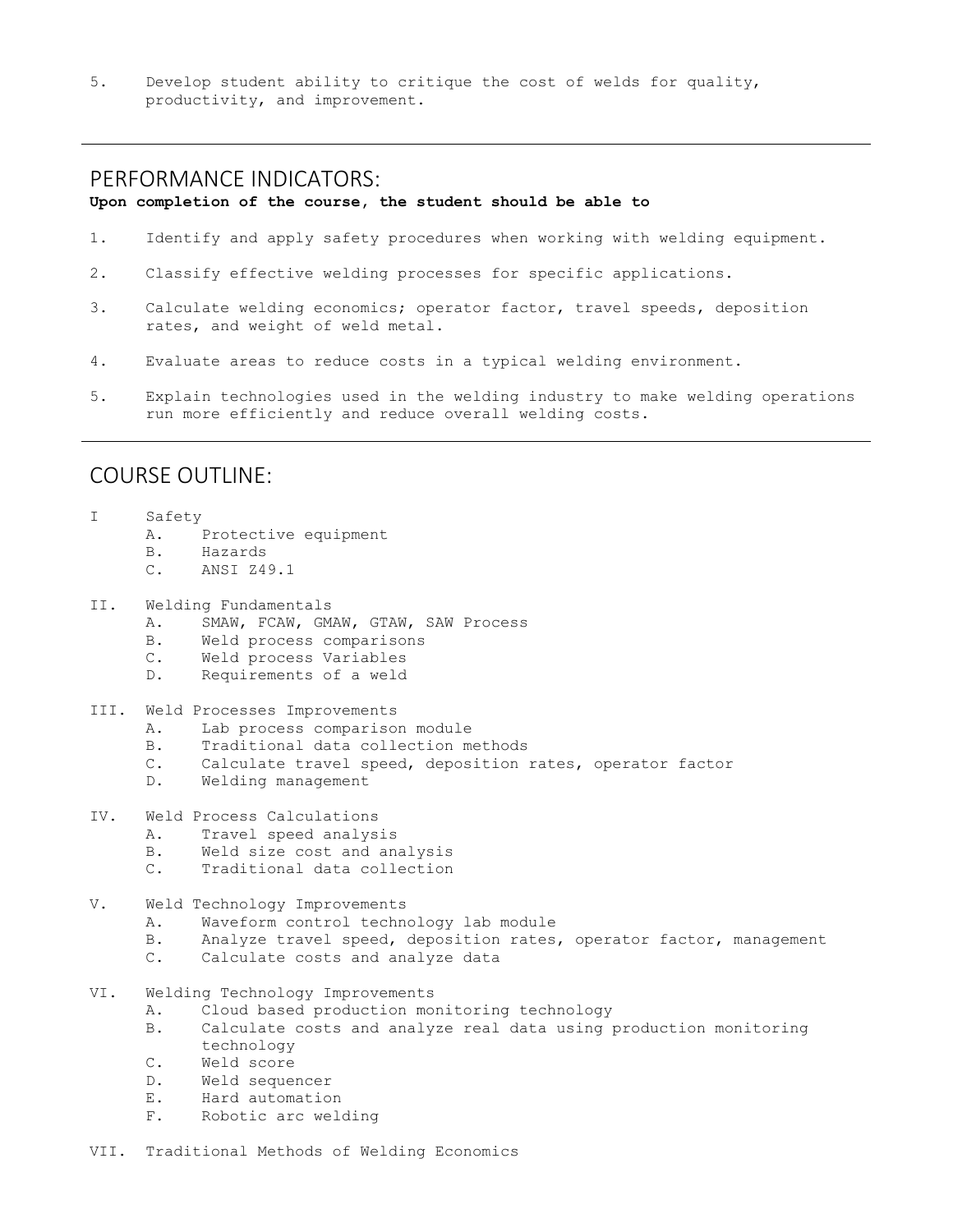5. Develop student ability to critique the cost of welds for quality, productivity, and improvement.

### PERFORMANCE INDICATORS:

#### **Upon completion of the course, the student should be able to**

- 1. Identify and apply safety procedures when working with welding equipment.
- 2. Classify effective welding processes for specific applications.
- 3. Calculate welding economics; operator factor, travel speeds, deposition rates, and weight of weld metal.
- 4. Evaluate areas to reduce costs in a typical welding environment.
- 5. Explain technologies used in the welding industry to make welding operations run more efficiently and reduce overall welding costs.

### COURSE OUTLINE:

- I Safety
	- A. Protective equipment
	- B. Hazards
	- C. ANSI Z49.1
- II. Welding Fundamentals
	- A. SMAW, FCAW, GMAW, GTAW, SAW Process
	- B. Weld process comparisons
	- C. Weld process Variables
	- D. Requirements of a weld
- III. Weld Processes Improvements
	- A. Lab process comparison module
	- B. Traditional data collection methods
	- C. Calculate travel speed, deposition rates, operator factor
	- D. Welding management
- IV. Weld Process Calculations
	- A. Travel speed analysis
	- B. Weld size cost and analysis
	- C. Traditional data collection
- V. Weld Technology Improvements
	- A. Waveform control technology lab module
	- B. Analyze travel speed, deposition rates, operator factor, management
	- C. Calculate costs and analyze data
- VI. Welding Technology Improvements
	- A. Cloud based production monitoring technology
	- B. Calculate costs and analyze real data using production monitoring technology
	- C. Weld score
	- D. Weld sequencer
	- E. Hard automation
	- F. Robotic arc welding
- VII. Traditional Methods of Welding Economics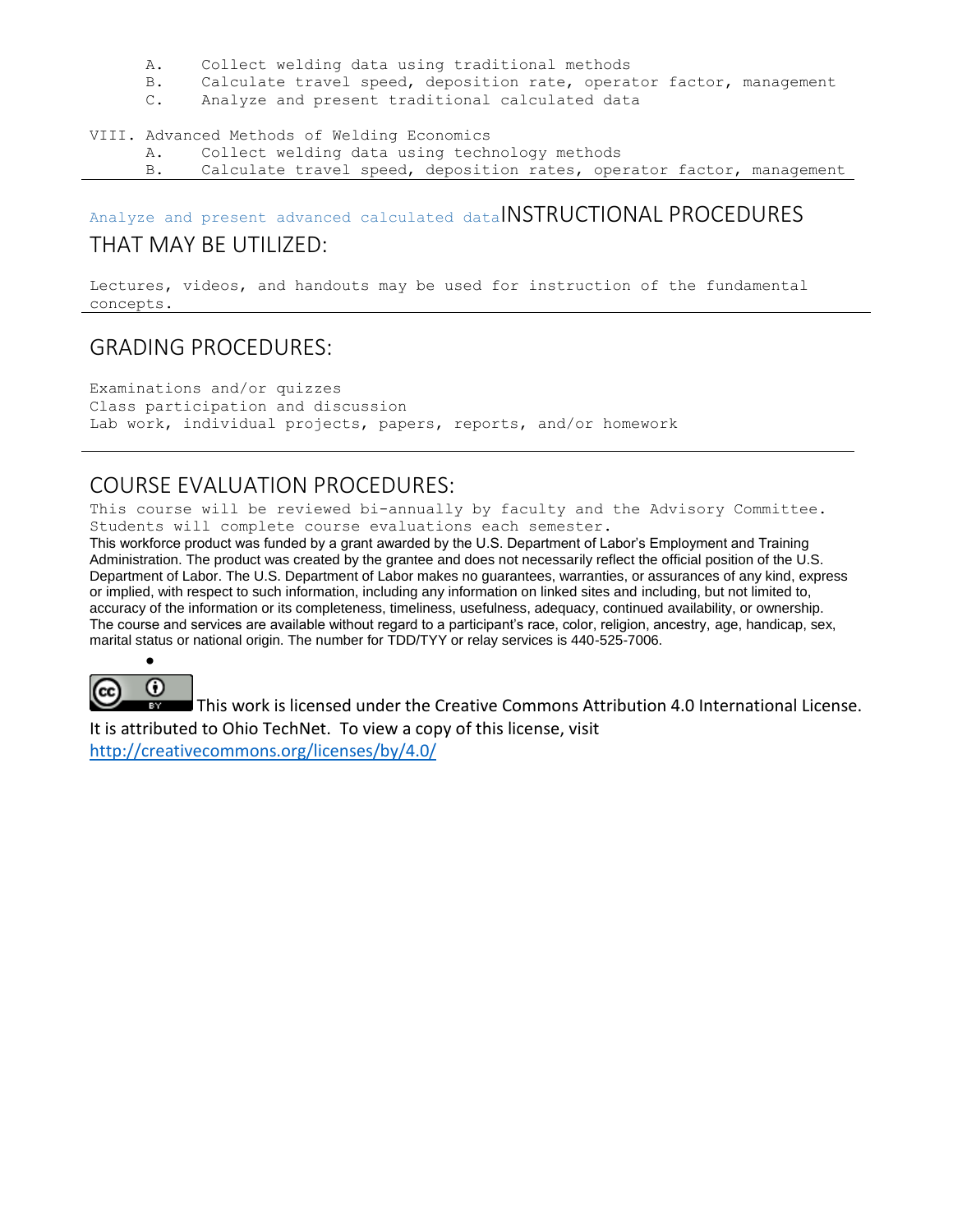- A. Collect welding data using traditional methods
- B. Calculate travel speed, deposition rate, operator factor, management
- C. Analyze and present traditional calculated data

#### VIII. Advanced Methods of Welding Economics

- A. Collect welding data using technology methods
- B. Calculate travel speed, deposition rates, operator factor, management

# Analyze and present advanced calculated dataINSTRUCTIONAL PROCEDURES

### THAT MAY BE UTILIZED:

Lectures, videos, and handouts may be used for instruction of the fundamental concepts.

# GRADING PROCEDURES:

Examinations and/or quizzes Class participation and discussion Lab work, individual projects, papers, reports, and/or homework

# COURSE EVALUATION PROCEDURES:

This course will be reviewed bi-annually by faculty and the Advisory Committee. Students will complete course evaluations each semester.

This workforce product was funded by a grant awarded by the U.S. Department of Labor's Employment and Training Administration. The product was created by the grantee and does not necessarily reflect the official position of the U.S. Department of Labor. The U.S. Department of Labor makes no guarantees, warranties, or assurances of any kind, express or implied, with respect to such information, including any information on linked sites and including, but not limited to, accuracy of the information or its completeness, timeliness, usefulness, adequacy, continued availability, or ownership. The course and services are available without regard to a participant's race, color, religion, ancestry, age, handicap, sex, marital status or national origin. The number for TDD/TYY or relay services is 440-525-7006.



 $\bullet$ 

This work is licensed under the Creative Commons Attribution 4.0 International License. It is attributed to Ohio TechNet. To view a copy of this license, visit

<http://creativecommons.org/licenses/by/4.0/>